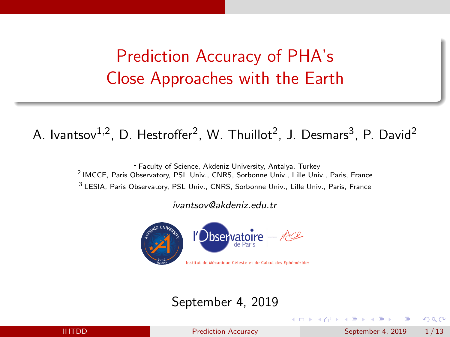# <span id="page-0-0"></span>Prediction Accuracy of PHA's Close Approaches with the Earth

#### A. Ivantsov $^{1,2}$ , D. Hestroffer<sup>2</sup>, W. Thuillot<sup>2</sup>, J. Desmars<sup>3</sup>, P. David<sup>2</sup>

<sup>1</sup> Faculty of Science, Akdeniz University, Antalya, Turkey 2 IMCCE, Paris Observatory, PSL Univ., CNRS, Sorbonne Univ., Lille Univ., Paris, France <sup>3</sup> LESIA, Paris Observatory, PSL Univ., CNRS, Sorbonne Univ., Lille Univ., Paris, France

ivantsov@akdeniz.edu.tr



#### September 4, 2019

IHTDD [Prediction Accuracy](#page-12-0) September 4, 2019 1 / 13

 $200$ 

( ロ ) ( <sub>何</sub> ) ( ヨ ) ( ヨ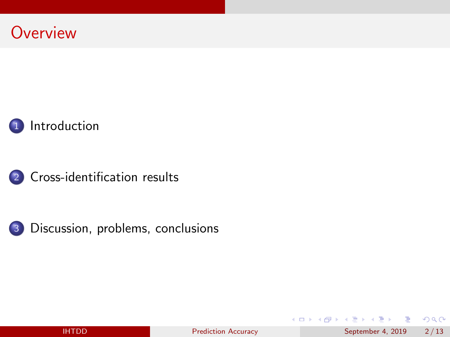





[Cross-identification results](#page-4-0)



[Discussion, problems, conclusions](#page-10-0)

造

ロ }  $4$   $\overline{m}$  }  $4$   $\overline{m}$  }  $4$   $\overline{m}$  }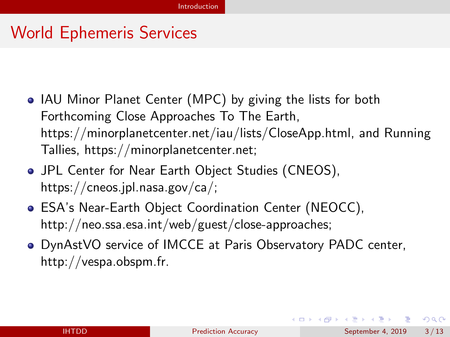## <span id="page-2-0"></span>World Ephemeris Services

- IAU Minor Planet Center (MPC) by giving the lists for both Forthcoming Close Approaches To The Earth, [https://minorplanetcenter.net/iau/lists/CloseApp.html,](https://minorplanetcenter.net/iau/lists/CloseApp.html) and Running Tallies, [https://minorplanetcenter.net;](https://minorplanetcenter.net)
- JPL Center for Near Earth Object Studies (CNEOS), [https://cneos.jpl.nasa.gov/ca/;](https://cneos.jpl.nasa.gov/ca/)
- ESA's Near-Earth Object Coordination Center (NEOCC), [http://neo.ssa.esa.int/web/guest/close-approaches;](http://neo.ssa.esa.int/web/guest/close-approaches)
- DynAstVO service of IMCCE at Paris Observatory PADC center, [http://vespa.obspm.fr.](http://vespa.obspm.fr)

 $QQ$ 

イロト イ団 トイ ヨト イヨト 一番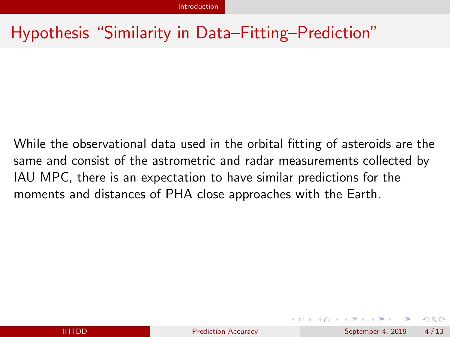## Hypothesis "Similarity in Data–Fitting–Prediction"

While the observational data used in the orbital fitting of asteroids are the same and consist of the astrometric and radar measurements collected by IAU MPC, there is an expectation to have similar predictions for the moments and distances of PHA close approaches with the Earth.

 $QQ$ 

イロト イ押ト イヨト イヨト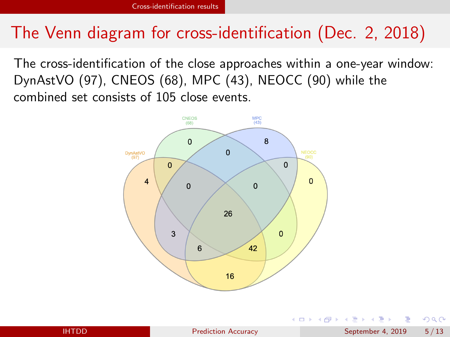## <span id="page-4-0"></span>The Venn diagram for cross-identification (Dec. 2, 2018)

The cross-identification of the close approaches within a one-year window: DynAstVO (97), CNEOS (68), MPC (43), NEOCC (90) while the combined set consists of 105 close events.



 $QQ$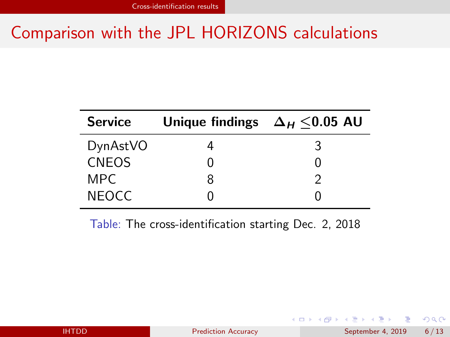## Comparison with the JPL HORIZONS calculations

| <b>Service</b> | Unique findings $\Delta_H \leq 0.05$ AU |  |
|----------------|-----------------------------------------|--|
| DynAstVO       |                                         |  |
| <b>CNEOS</b>   |                                         |  |
| MPC.           | R                                       |  |
| <b>NEOCC</b>   |                                         |  |

Table: The cross-identification starting Dec. 2, 2018

×.

目

イロト イ押ト イヨト イヨト

 $QQ$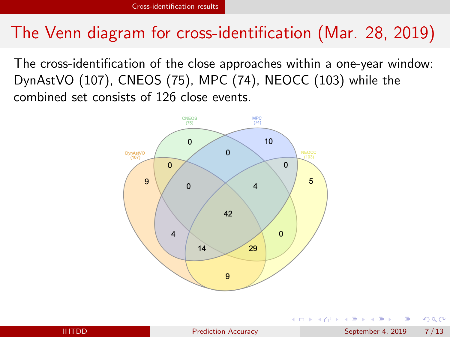## The Venn diagram for cross-identification (Mar. 28, 2019)

The cross-identification of the close approaches within a one-year window: DynAstVO (107), CNEOS (75), MPC (74), NEOCC (103) while the combined set consists of 126 close events.



 $\Omega$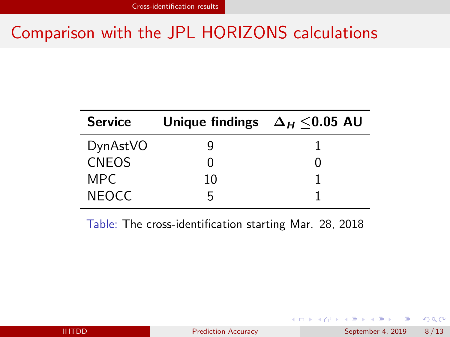## Comparison with the JPL HORIZONS calculations

| <b>Service</b> | Unique findings $\Delta_H$ <0.05 AU |  |
|----------------|-------------------------------------|--|
| DynAstVO       |                                     |  |
| <b>CNEOS</b>   |                                     |  |
| MPC.           | 10                                  |  |
| <b>NEOCC</b>   |                                     |  |

Table: The cross-identification starting Mar. 28, 2018

目

イロト イ押ト イヨト イヨト

 $QQ$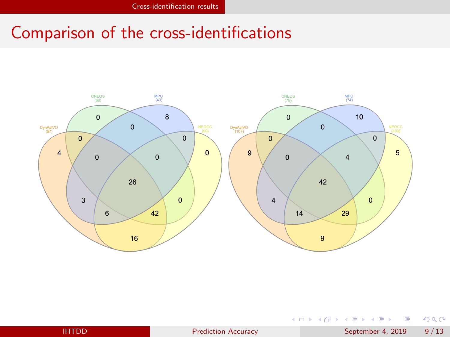## Comparison of the cross-identifications



D.

 $299$ 

イロト イ部 トイモ トイモト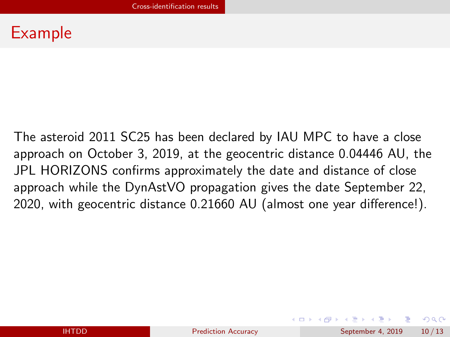### Example

The asteroid 2011 SC25 has been declared by IAU MPC to have a close approach on October 3, 2019, at the geocentric distance 0.04446 AU, the JPL HORIZONS confirms approximately the date and distance of close approach while the DynAstVO propagation gives the date September 22, 2020, with geocentric distance 0.21660 AU (almost one year difference!).

 $QQ$ 

イロト イ押 トイヨ トイヨ トーヨ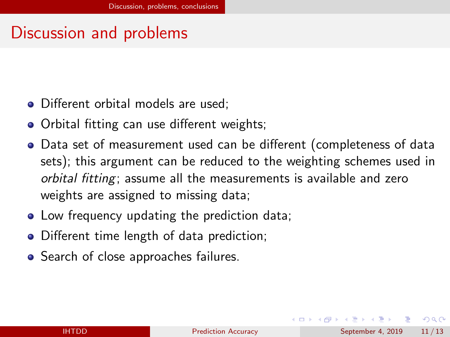### <span id="page-10-0"></span>Discussion and problems

- Different orbital models are used:
- Orbital fitting can use different weights;
- Data set of measurement used can be different (completeness of data sets); this argument can be reduced to the weighting schemes used in orbital fitting; assume all the measurements is available and zero weights are assigned to missing data;
- Low frequency updating the prediction data;
- Different time length of data prediction;
- Search of close approaches failures.

- 30

 $\Omega$ 

イロト イ押ト イヨト イヨト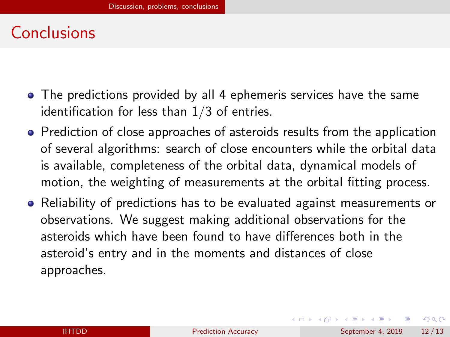### Conclusions

- The predictions provided by all 4 ephemeris services have the same identification for less than  $1/3$  of entries.
- Prediction of close approaches of asteroids results from the application of several algorithms: search of close encounters while the orbital data is available, completeness of the orbital data, dynamical models of motion, the weighting of measurements at the orbital fitting process.
- Reliability of predictions has to be evaluated against measurements or observations. We suggest making additional observations for the asteroids which have been found to have differences both in the asteroid's entry and in the moments and distances of close approaches.

- 3

 $QQ$ 

 $\left\{ \begin{array}{ccc} 1 & 0 & 0 \\ 0 & 1 & 0 \end{array} \right.$